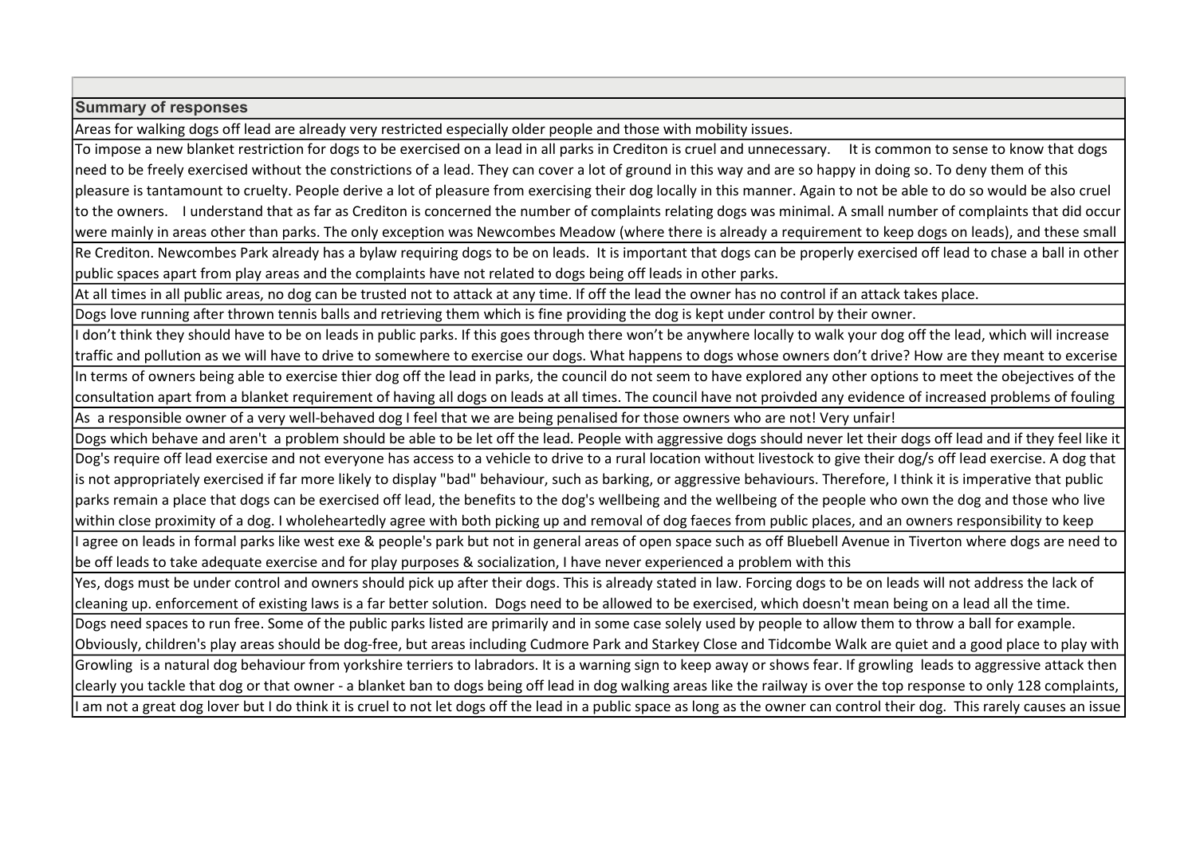## Summary of responses

Areas for walking dogs off lead are already very restricted especially older people and those with mobility issues.

To impose a new blanket restriction for dogs to be exercised on a lead in all parks in Crediton is cruel and unnecessary. It is common to sense to know that dogs need to be freely exercised without the constrictions of a lead. They can cover a lot of ground in this way and are so happy in doing so. To deny them of this pleasure is tantamount to cruelty. People derive a lot of pleasure from exercising their dog locally in this manner. Again to not be able to do so would be also cruel to the owners. I understand that as far as Crediton is concerned the number of complaints relating dogs was minimal. A small number of complaints that did occur were mainly in areas other than parks. The only exception was Newcombes Meadow (where there is already a requirement to keep dogs on leads), and these small Re Crediton. Newcombes Park already has a bylaw requiring dogs to be on leads. It is important that dogs can be properly exercised off lead to chase a ball in other public spaces apart from play areas and the complaints have not related to dogs being off leads in other parks.

At all times in all public areas, no dog can be trusted not to attack at any time. If off the lead the owner has no control if an attack takes place.

Dogs love running after thrown tennis balls and retrieving them which is fine providing the dog is kept under control by their owner.

I don't think they should have to be on leads in public parks. If this goes through there won't be anywhere locally to walk your dog off the lead, which will increase traffic and pollution as we will have to drive to somewhere to exercise our dogs. What happens to dogs whose owners don't drive? How are they meant to excerise In terms of owners being able to exercise thier dog off the lead in parks, the council do not seem to have explored any other options to meet the obejectives of the consultation apart from a blanket requirement of having all dogs on leads at all times. The council have not proivded any evidence of increased problems of fouling As a responsible owner of a very well-behaved dog I feel that we are being penalised for those owners who are not! Very unfair!

Dogs which behave and aren't a problem should be able to be let off the lead. People with aggressive dogs should never let their dogs off lead and if they feel like it Dog's require off lead exercise and not everyone has access to a vehicle to drive to a rural location without livestock to give their dog/s off lead exercise. A dog that is not appropriately exercised if far more likely to display "bad" behaviour, such as barking, or aggressive behaviours. Therefore, I think it is imperative that public parks remain a place that dogs can be exercised off lead, the benefits to the dog's wellbeing and the wellbeing of the people who own the dog and those who live within close proximity of a dog. I wholeheartedly agree with both picking up and removal of dog faeces from public places, and an owners responsibility to keep I agree on leads in formal parks like west exe & people's park but not in general areas of open space such as off Bluebell Avenue in Tiverton where dogs are need to

be off leads to take adequate exercise and for play purposes & socialization, I have never experienced a problem with this

Yes, dogs must be under control and owners should pick up after their dogs. This is already stated in law. Forcing dogs to be on leads will not address the lack of cleaning up. enforcement of existing laws is a far better solution. Dogs need to be allowed to be exercised, which doesn't mean being on a lead all the time.

Dogs need spaces to run free. Some of the public parks listed are primarily and in some case solely used by people to allow them to throw a ball for example. Obviously, children's play areas should be dog-free, but areas including Cudmore Park and Starkey Close and Tidcombe Walk are quiet and a good place to play with Growling is a natural dog behaviour from yorkshire terriers to labradors. It is a warning sign to keep away or shows fear. If growling leads to aggressive attack then clearly you tackle that dog or that owner - a blanket ban to dogs being off lead in dog walking areas like the railway is over the top response to only 128 complaints, I am not a great dog lover but I do think it is cruel to not let dogs off the lead in a public space as long as the owner can control their dog. This rarely causes an issue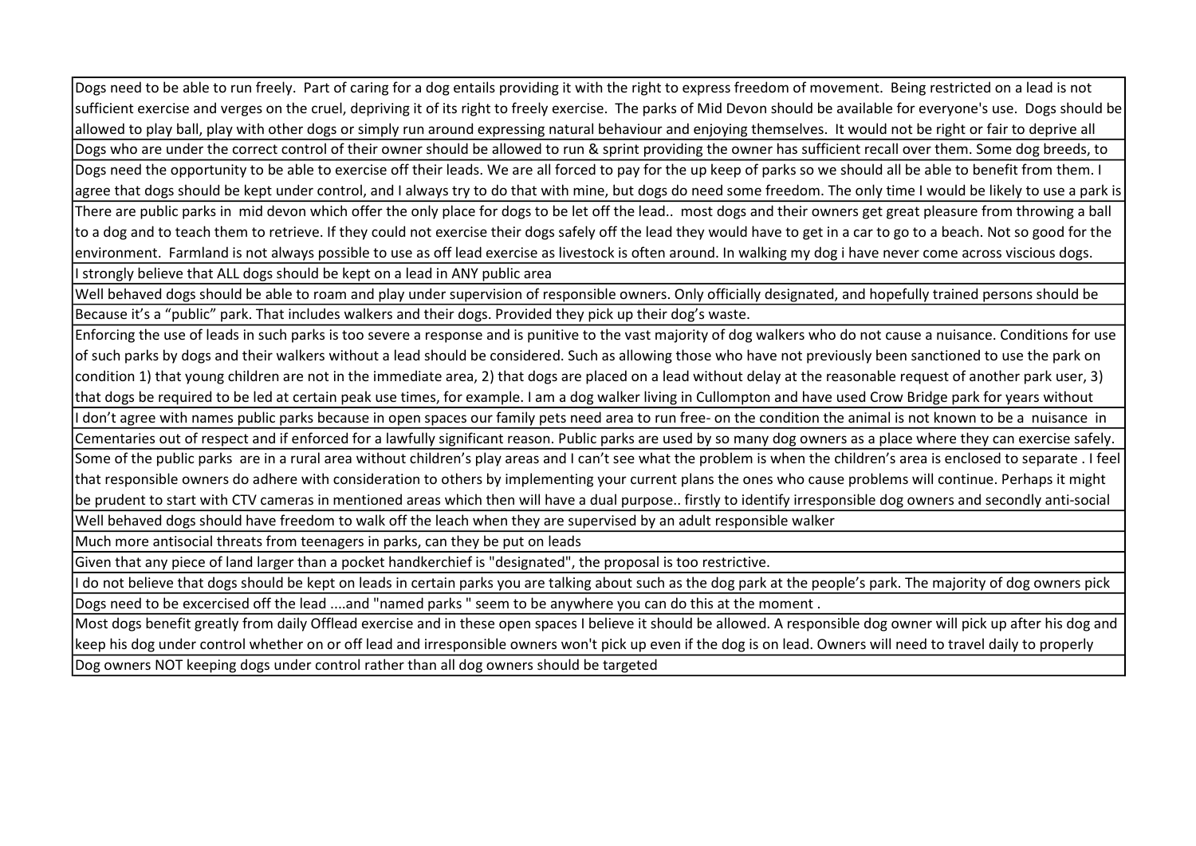Dogs need to be able to run freely. Part of caring for a dog entails providing it with the right to express freedom of movement. Being restricted on a lead is not sufficient exercise and verges on the cruel, depriving it of its right to freely exercise. The parks of Mid Devon should be available for everyone's use. Dogs should be allowed to play ball, play with other dogs or simply run around expressing natural behaviour and enjoying themselves. It would not be right or fair to deprive all Dogs who are under the correct control of their owner should be allowed to run & sprint providing the owner has sufficient recall over them. Some dog breeds, to

Dogs need the opportunity to be able to exercise off their leads. We are all forced to pay for the up keep of parks so we should all be able to benefit from them. I agree that dogs should be kept under control, and I always try to do that with mine, but dogs do need some freedom. The only time I would be likely to use a park is There are public parks in mid devon which offer the only place for dogs to be let off the lead.. most dogs and their owners get great pleasure from throwing a ball to a dog and to teach them to retrieve. If they could not exercise their dogs safely off the lead they would have to get in a car to go to a beach. Not so good for the environment. Farmland is not always possible to use as off lead exercise as livestock is often around. In walking my dog i have never come across viscious dogs.

I strongly believe that ALL dogs should be kept on a lead in ANY public area

Well behaved dogs should be able to roam and play under supervision of responsible owners. Only officially designated, and hopefully trained persons should be Because it's a "public" park. That includes walkers and their dogs. Provided they pick up their dog's waste.

Enforcing the use of leads in such parks is too severe a response and is punitive to the vast majority of dog walkers who do not cause a nuisance. Conditions for use of such parks by dogs and their walkers without a lead should be considered. Such as allowing those who have not previously been sanctioned to use the park on condition 1) that young children are not in the immediate area, 2) that dogs are placed on a lead without delay at the reasonable request of another park user, 3) that dogs be required to be led at certain peak use times, for example. I am a dog walker living in Cullompton and have used Crow Bridge park for years without I don't agree with names public parks because in open spaces our family pets need area to run free- on the condition the animal is not known to be a nuisance in

Cementaries out of respect and if enforced for a lawfully significant reason. Public parks are used by so many dog owners as a place where they can exercise safely.

Some of the public parks are in a rural area without children's play areas and I can't see what the problem is when the children's area is enclosed to separate . I feel that responsible owners do adhere with consideration to others by implementing your current plans the ones who cause problems will continue. Perhaps it might be prudent to start with CTV cameras in mentioned areas which then will have a dual purpose.. firstly to identify irresponsible dog owners and secondly anti-social

Well behaved dogs should have freedom to walk off the leach when they are supervised by an adult responsible walker

Much more antisocial threats from teenagers in parks, can they be put on leads

Given that any piece of land larger than a pocket handkerchief is "designated", the proposal is too restrictive.

I do not believe that dogs should be kept on leads in certain parks you are talking about such as the dog park at the people's park. The majority of dog owners pick Dogs need to be excercised off the lead ....and "named parks " seem to be anywhere you can do this at the moment .

Most dogs benefit greatly from daily Offlead exercise and in these open spaces I believe it should be allowed. A responsible dog owner will pick up after his dog and keep his dog under control whether on or off lead and irresponsible owners won't pick up even if the dog is on lead. Owners will need to travel daily to properly Dog owners NOT keeping dogs under control rather than all dog owners should be targeted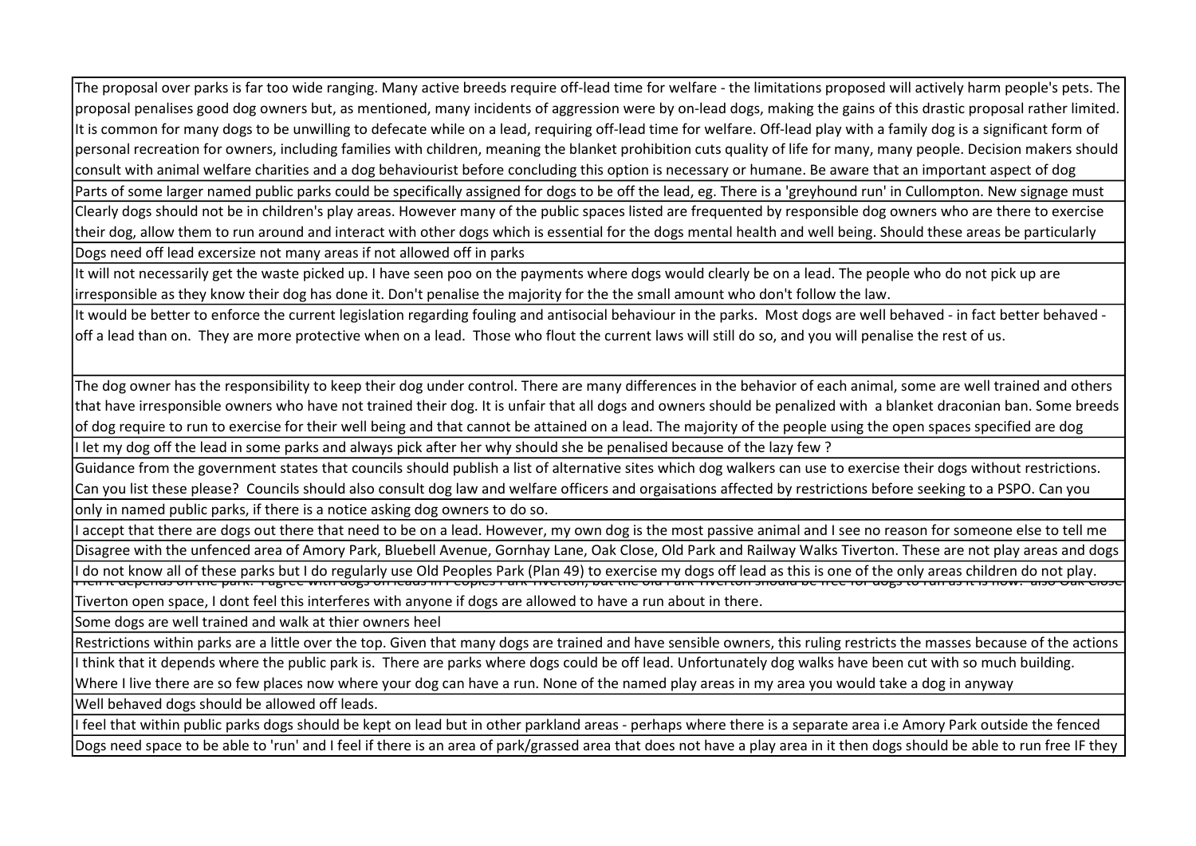The proposal over parks is far too wide ranging. Many active breeds require off-lead time for welfare - the limitations proposed will actively harm people's pets. The proposal penalises good dog owners but, as mentioned, many incidents of aggression were by on-lead dogs, making the gains of this drastic proposal rather limited. It is common for many dogs to be unwilling to defecate while on a lead, requiring off-lead time for welfare. Off-lead play with a family dog is a significant form of personal recreation for owners, including families with children, meaning the blanket prohibition cuts quality of life for many, many people. Decision makers should consult with animal welfare charities and a dog behaviourist before concluding this option is necessary or humane. Be aware that an important aspect of dog Parts of some larger named public parks could be specifically assigned for dogs to be off the lead, eg. There is a 'greyhound run' in Cullompton. New signage must Clearly dogs should not be in children's play areas. However many of the public spaces listed are frequented by responsible dog owners who are there to exercise their dog, allow them to run around and interact with other dogs which is essential for the dogs mental health and well being. Should these areas be particularly Dogs need off lead excersize not many areas if not allowed off in parks

It will not necessarily get the waste picked up. I have seen poo on the payments where dogs would clearly be on a lead. The people who do not pick up are irresponsible as they know their dog has done it. Don't penalise the majority for the the small amount who don't follow the law.

It would be better to enforce the current legislation regarding fouling and antisocial behaviour in the parks. Most dogs are well behaved - in fact better behaved off a lead than on. They are more protective when on a lead. Those who flout the current laws will still do so, and you will penalise the rest of us.

The dog owner has the responsibility to keep their dog under control. There are many differences in the behavior of each animal, some are well trained and others that have irresponsible owners who have not trained their dog. It is unfair that all dogs and owners should be penalized with a blanket draconian ban. Some breeds of dog require to run to exercise for their well being and that cannot be attained on a lead. The majority of the people using the open spaces specified are dog I let my dog off the lead in some parks and always pick after her why should she be penalised because of the lazy few ?

Guidance from the government states that councils should publish a list of alternative sites which dog walkers can use to exercise their dogs without restrictions. Can you list these please? Councils should also consult dog law and welfare officers and orgaisations affected by restrictions before seeking to a PSPO. Can you only in named public parks, if there is a notice asking dog owners to do so.

I accept that there are dogs out there that need to be on a lead. However, my own dog is the most passive animal and I see no reason for someone else to tell me Disagree with the unfenced area of Amory Park, Bluebell Avenue, Gornhay Lane, Oak Close, Old Park and Railway Walks Tiverton. These are not play areas and dogs l do not know all of these parks but I do regularly use Old Peoples Park (Plan 49) to exercise my dogs off lead as this is one of the only areas children do not play.<br>Then it depends on the park: Tagree with dogs on leads

Tiverton open space, I dont feel this interferes with anyone if dogs are allowed to have a run about in there.

Some dogs are well trained and walk at thier owners heel

Restrictions within parks are a little over the top. Given that many dogs are trained and have sensible owners, this ruling restricts the masses because of the actions

I think that it depends where the public park is. There are parks where dogs could be off lead. Unfortunately dog walks have been cut with so much building.

Where I live there are so few places now where your dog can have a run. None of the named play areas in my area you would take a dog in anyway

Well behaved dogs should be allowed off leads.

I feel that within public parks dogs should be kept on lead but in other parkland areas - perhaps where there is a separate area i.e Amory Park outside the fenced Dogs need space to be able to 'run' and I feel if there is an area of park/grassed area that does not have a play area in it then dogs should be able to run free IF they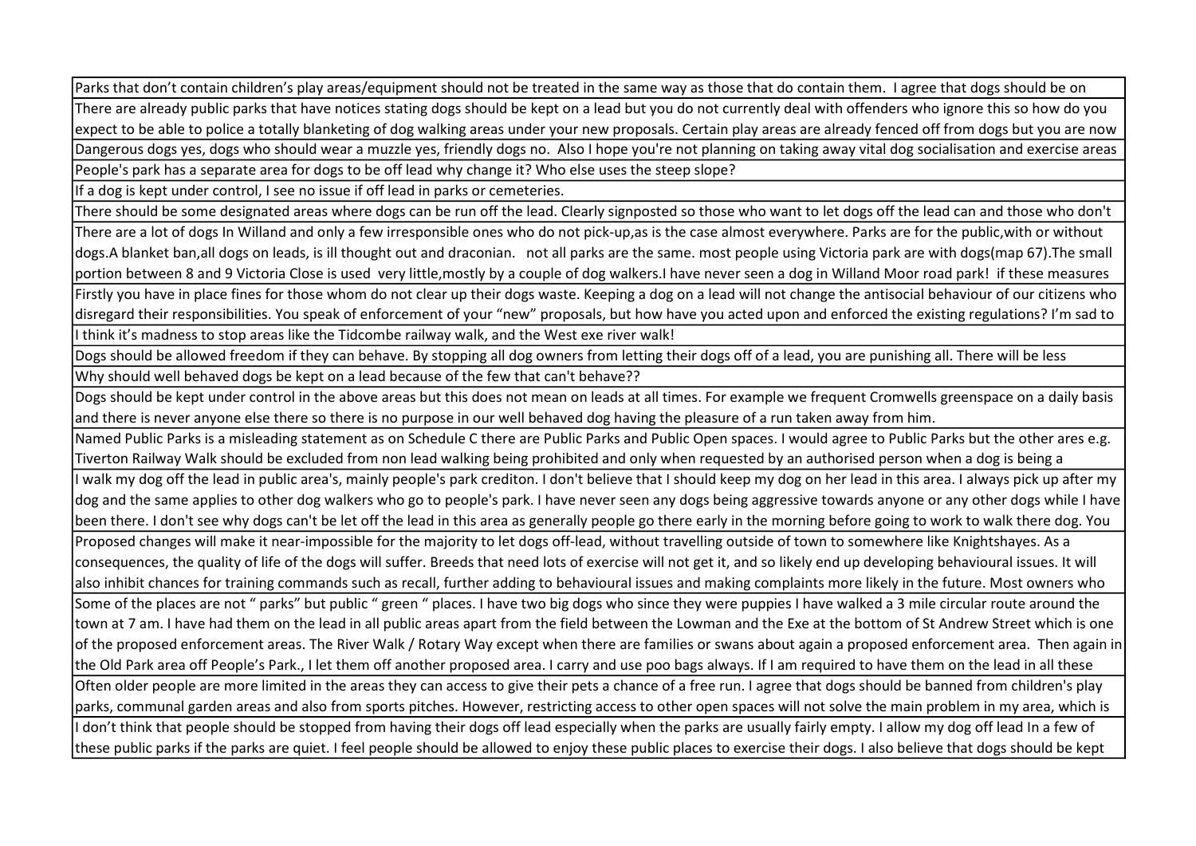Parks that don't contain children's play areas/equipment should not be treated in the same way as those that do contain them. I agree that dogs should be on There are already public parks that have notices stating dogs should be kept on a lead but you do not currently deal with offenders who ignore this so how do you expect to be able to police a totally blanketing of dog walking areas under your new proposals. Certain play areas are already fenced off from dogs but you are now Dangerous dogs yes, dogs who should wear a muzzle yes, friendly dogs no. Also I hope you're not planning on taking away vital dog socialisation and exercise areas People's park has a separate area for dogs to be off lead why change it? Who else uses the steep slope?

If a dog is kept under control, I see no issue if off lead in parks or cemeteries.

There should be some designated areas where dogs can be run off the lead. Clearly signposted so those who want to let dogs off the lead can and those who don't

There are a lot of dogs In Willand and only a few irresponsible ones who do not pick-up,as is the case almost everywhere. Parks are for the public,with or without dogs.A blanket ban,all dogs on leads, is ill thought out and draconian. not all parks are the same. most people using Victoria park are with dogs(map 67).The small portion between 8 and 9 Victoria Close is used very little,mostly by a couple of dog walkers.I have never seen a dog in Willand Moor road park! if these measures Firstly you have in place fines for those whom do not clear up their dogs waste. Keeping a dog on a lead will not change the antisocial behaviour of our citizens who disregard their responsibilities. You speak of enforcement of your "new" proposals, but how have you acted upon and enforced the existing regulations? I'm sad to I think it's madness to stop areas like the Tidcombe railway walk, and the West exe river walk!

Dogs should be allowed freedom if they can behave. By stopping all dog owners from letting their dogs off of a lead, you are punishing all. There will be less

Why should well behaved dogs be kept on a lead because of the few that can't behave??

Dogs should be kept under control in the above areas but this does not mean on leads at all times. For example we frequent Cromwells greenspace on a daily basis and there is never anyone else there so there is no purpose in our well behaved dog having the pleasure of a run taken away from him.

Named Public Parks is a misleading statement as on Schedule C there are Public Parks and Public Open spaces. I would agree to Public Parks but the other ares e.g. Tiverton Railway Walk should be excluded from non lead walking being prohibited and only when requested by an authorised person when a dog is being a

I walk my dog off the lead in public area's, mainly people's park crediton. I don't believe that I should keep my dog on her lead in this area. I always pick up after my dog and the same applies to other dog walkers who go to people's park. I have never seen any dogs being aggressive towards anyone or any other dogs while I have been there. I don't see why dogs can't be let off the lead in this area as generally people go there early in the morning before going to work to walk there dog. You Proposed changes will make it near-impossible for the majority to let dogs off-lead, without travelling outside of town to somewhere like Knightshayes. As a consequences, the quality of life of the dogs will suffer. Breeds that need lots of exercise will not get it, and so likely end up developing behavioural issues. It will also inhibit chances for training commands such as recall, further adding to behavioural issues and making complaints more likely in the future. Most owners who Some of the places are not " parks" but public " green " places. I have two big dogs who since they were puppies I have walked a 3 mile circular route around the town at 7 am. I have had them on the lead in all public areas apart from the field between the Lowman and the Exe at the bottom of St Andrew Street which is one of the proposed enforcement areas. The River Walk / Rotary Way except when there are families or swans about again a proposed enforcement area. Then again in the Old Park area off People's Park., I let them off another proposed area. I carry and use poo bags always. If I am required to have them on the lead in all these Often older people are more limited in the areas they can access to give their pets a chance of a free run. I agree that dogs should be banned from children's play parks, communal garden areas and also from sports pitches. However, restricting access to other open spaces will not solve the main problem in my area, which is I don't think that people should be stopped from having their dogs off lead especially when the parks are usually fairly empty. I allow my dog off lead In a few of

these public parks if the parks are quiet. I feel people should be allowed to enjoy these public places to exercise their dogs. I also believe that dogs should be kept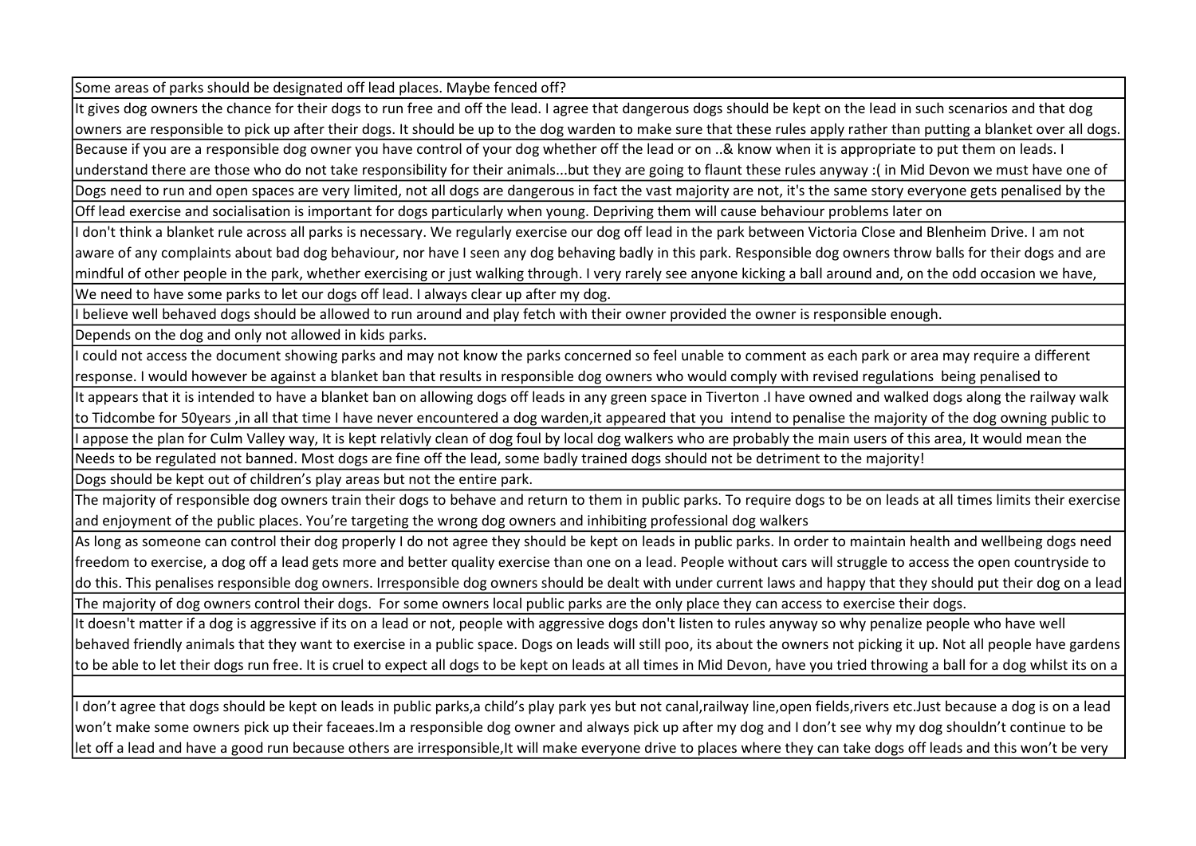Some areas of parks should be designated off lead places. Maybe fenced off?

It gives dog owners the chance for their dogs to run free and off the lead. I agree that dangerous dogs should be kept on the lead in such scenarios and that dog owners are responsible to pick up after their dogs. It should be up to the dog warden to make sure that these rules apply rather than putting a blanket over all dogs. Because if you are a responsible dog owner you have control of your dog whether off the lead or on ..& know when it is appropriate to put them on leads. I understand there are those who do not take responsibility for their animals...but they are going to flaunt these rules anyway :( in Mid Devon we must have one of Dogs need to run and open spaces are very limited, not all dogs are dangerous in fact the vast majority are not, it's the same story everyone gets penalised by the Off lead exercise and socialisation is important for dogs particularly when young. Depriving them will cause behaviour problems later on

I don't think a blanket rule across all parks is necessary. We regularly exercise our dog off lead in the park between Victoria Close and Blenheim Drive. I am not aware of any complaints about bad dog behaviour, nor have I seen any dog behaving badly in this park. Responsible dog owners throw balls for their dogs and are mindful of other people in the park, whether exercising or just walking through. I very rarely see anyone kicking a ball around and, on the odd occasion we have, We need to have some parks to let our dogs off lead. I always clear up after my dog.

I believe well behaved dogs should be allowed to run around and play fetch with their owner provided the owner is responsible enough.

Depends on the dog and only not allowed in kids parks.

I could not access the document showing parks and may not know the parks concerned so feel unable to comment as each park or area may require a different response. I would however be against a blanket ban that results in responsible dog owners who would comply with revised regulations being penalised to

It appears that it is intended to have a blanket ban on allowing dogs off leads in any green space in Tiverton .I have owned and walked dogs along the railway walk to Tidcombe for 50years ,in all that time I have never encountered a dog warden,it appeared that you intend to penalise the majority of the dog owning public to I appose the plan for Culm Valley way, It is kept relativly clean of dog foul by local dog walkers who are probably the main users of this area, It would mean the

Needs to be regulated not banned. Most dogs are fine off the lead, some badly trained dogs should not be detriment to the majority!

Dogs should be kept out of children's play areas but not the entire park.

The majority of responsible dog owners train their dogs to behave and return to them in public parks. To require dogs to be on leads at all times limits their exercise and enjoyment of the public places. You're targeting the wrong dog owners and inhibiting professional dog walkers

As long as someone can control their dog properly I do not agree they should be kept on leads in public parks. In order to maintain health and wellbeing dogs need freedom to exercise, a dog off a lead gets more and better quality exercise than one on a lead. People without cars will struggle to access the open countryside to do this. This penalises responsible dog owners. Irresponsible dog owners should be dealt with under current laws and happy that they should put their dog on a lead The majority of dog owners control their dogs. For some owners local public parks are the only place they can access to exercise their dogs.

It doesn't matter if a dog is aggressive if its on a lead or not, people with aggressive dogs don't listen to rules anyway so why penalize people who have well behaved friendly animals that they want to exercise in a public space. Dogs on leads will still poo, its about the owners not picking it up. Not all people have gardens to be able to let their dogs run free. It is cruel to expect all dogs to be kept on leads at all times in Mid Devon, have you tried throwing a ball for a dog whilst its on a

I don't agree that dogs should be kept on leads in public parks,a child's play park yes but not canal,railway line,open fields,rivers etc.Just because a dog is on a lead won't make some owners pick up their faceaes.Im a responsible dog owner and always pick up after my dog and I don't see why my dog shouldn't continue to be let off a lead and have a good run because others are irresponsible, It will make everyone drive to places where they can take dogs off leads and this won't be very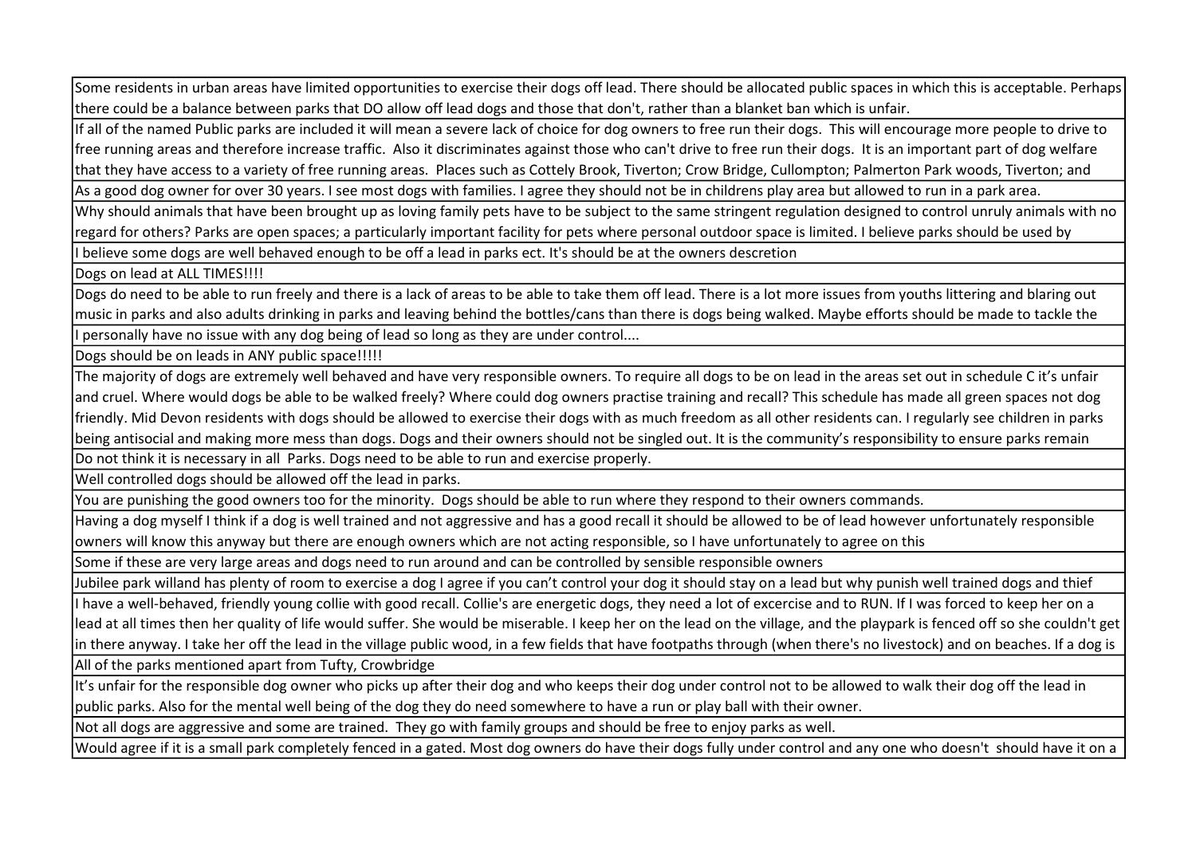Some residents in urban areas have limited opportunities to exercise their dogs off lead. There should be allocated public spaces in which this is acceptable. Perhaps there could be a balance between parks that DO allow off lead dogs and those that don't, rather than a blanket ban which is unfair.

If all of the named Public parks are included it will mean a severe lack of choice for dog owners to free run their dogs. This will encourage more people to drive to free running areas and therefore increase traffic. Also it discriminates against those who can't drive to free run their dogs. It is an important part of dog welfare that they have access to a variety of free running areas. Places such as Cottely Brook, Tiverton; Crow Bridge, Cullompton; Palmerton Park woods, Tiverton; and

As a good dog owner for over 30 years. I see most dogs with families. I agree they should not be in childrens play area but allowed to run in a park area.

Why should animals that have been brought up as loving family pets have to be subject to the same stringent regulation designed to control unruly animals with no regard for others? Parks are open spaces; a particularly important facility for pets where personal outdoor space is limited. I believe parks should be used by

I believe some dogs are well behaved enough to be off a lead in parks ect. It's should be at the owners descretion

Dogs on lead at ALL TIMES!!!!

Dogs do need to be able to run freely and there is a lack of areas to be able to take them off lead. There is a lot more issues from youths littering and blaring out music in parks and also adults drinking in parks and leaving behind the bottles/cans than there is dogs being walked. Maybe efforts should be made to tackle the I personally have no issue with any dog being of lead so long as they are under control....

Dogs should be on leads in ANY public space!!!!!

The majority of dogs are extremely well behaved and have very responsible owners. To require all dogs to be on lead in the areas set out in schedule C it's unfair and cruel. Where would dogs be able to be walked freely? Where could dog owners practise training and recall? This schedule has made all green spaces not dog friendly. Mid Devon residents with dogs should be allowed to exercise their dogs with as much freedom as all other residents can. I regularly see children in parks being antisocial and making more mess than dogs. Dogs and their owners should not be singled out. It is the community's responsibility to ensure parks remain

Do not think it is necessary in all Parks. Dogs need to be able to run and exercise properly.

Well controlled dogs should be allowed off the lead in parks.

You are punishing the good owners too for the minority. Dogs should be able to run where they respond to their owners commands.

Having a dog myself I think if a dog is well trained and not aggressive and has a good recall it should be allowed to be of lead however unfortunately responsible owners will know this anyway but there are enough owners which are not acting responsible, so I have unfortunately to agree on this

Some if these are very large areas and dogs need to run around and can be controlled by sensible responsible owners

Jubilee park willand has plenty of room to exercise a dog I agree if you can't control your dog it should stay on a lead but why punish well trained dogs and thief

I have a well-behaved, friendly young collie with good recall. Collie's are energetic dogs, they need a lot of excercise and to RUN. If I was forced to keep her on a lead at all times then her quality of life would suffer. She would be miserable. I keep her on the lead on the village, and the playpark is fenced off so she couldn't get in there anyway. I take her off the lead in the village public wood, in a few fields that have footpaths through (when there's no livestock) and on beaches. If a dog is

All of the parks mentioned apart from Tufty, Crowbridge

It's unfair for the responsible dog owner who picks up after their dog and who keeps their dog under control not to be allowed to walk their dog off the lead in public parks. Also for the mental well being of the dog they do need somewhere to have a run or play ball with their owner.

Not all dogs are aggressive and some are trained. They go with family groups and should be free to enjoy parks as well.

Would agree if it is a small park completely fenced in a gated. Most dog owners do have their dogs fully under control and any one who doesn't should have it on a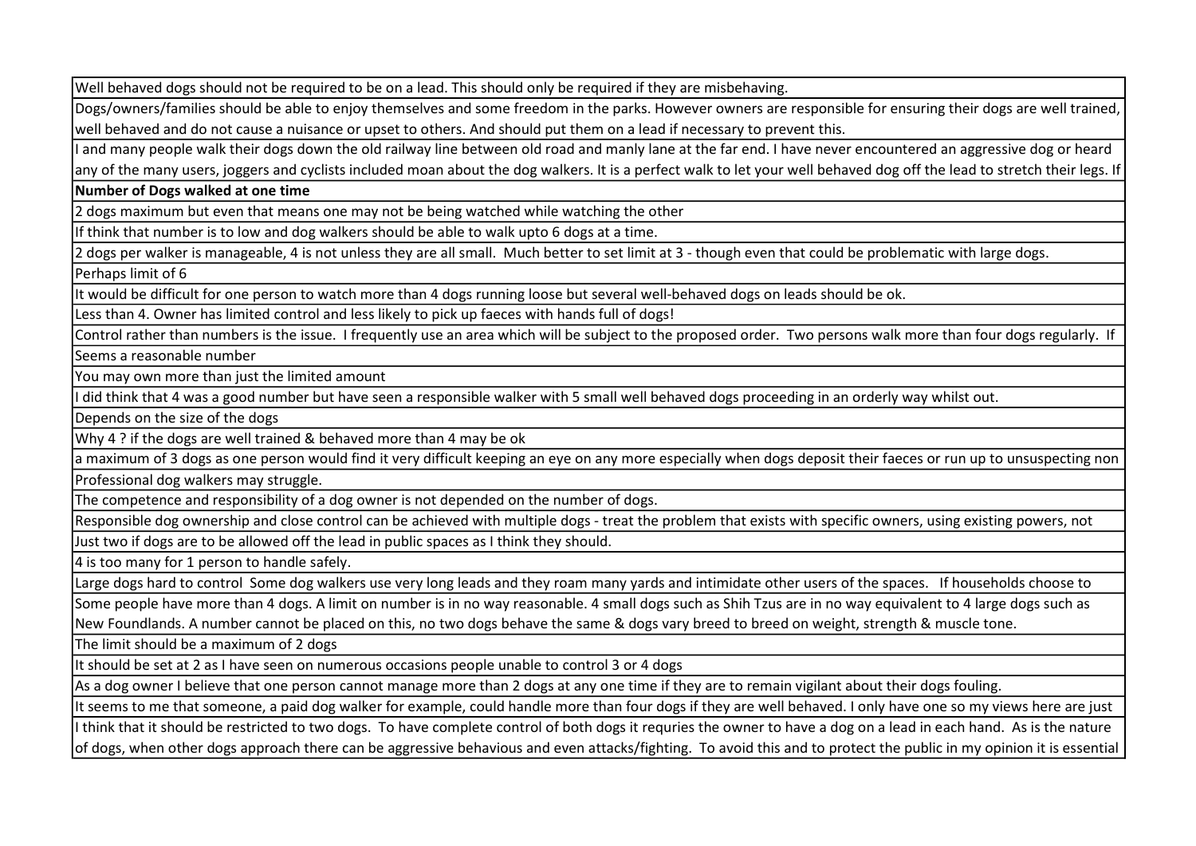Well behaved dogs should not be required to be on a lead. This should only be required if they are misbehaving.

Dogs/owners/families should be able to enjoy themselves and some freedom in the parks. However owners are responsible for ensuring their dogs are well trained, well behaved and do not cause a nuisance or upset to others. And should put them on a lead if necessary to prevent this.

I and many people walk their dogs down the old railway line between old road and manly lane at the far end. I have never encountered an aggressive dog or heard

any of the many users, joggers and cyclists included moan about the dog walkers. It is a perfect walk to let your well behaved dog off the lead to stretch their legs. If Number of Dogs walked at one time

2 dogs maximum but even that means one may not be being watched while watching the other

If think that number is to low and dog walkers should be able to walk upto 6 dogs at a time.

2 dogs per walker is manageable, 4 is not unless they are all small. Much better to set limit at 3 - though even that could be problematic with large dogs.

Perhaps limit of 6

It would be difficult for one person to watch more than 4 dogs running loose but several well-behaved dogs on leads should be ok.

Less than 4. Owner has limited control and less likely to pick up faeces with hands full of dogs!

Control rather than numbers is the issue. I frequently use an area which will be subject to the proposed order. Two persons walk more than four dogs regularly. If

Seems a reasonable number

You may own more than just the limited amount

I did think that 4 was a good number but have seen a responsible walker with 5 small well behaved dogs proceeding in an orderly way whilst out.

Depends on the size of the dogs

Why 4 ? if the dogs are well trained & behaved more than 4 may be ok

a maximum of 3 dogs as one person would find it very difficult keeping an eye on any more especially when dogs deposit their faeces or run up to unsuspecting non Professional dog walkers may struggle.

The competence and responsibility of a dog owner is not depended on the number of dogs.

Responsible dog ownership and close control can be achieved with multiple dogs - treat the problem that exists with specific owners, using existing powers, not Just two if dogs are to be allowed off the lead in public spaces as I think they should.

4 is too many for 1 person to handle safely.

Large dogs hard to control Some dog walkers use very long leads and they roam many yards and intimidate other users of the spaces. If households choose to

Some people have more than 4 dogs. A limit on number is in no way reasonable. 4 small dogs such as Shih Tzus are in no way equivalent to 4 large dogs such as New Foundlands. A number cannot be placed on this, no two dogs behave the same & dogs vary breed to breed on weight, strength & muscle tone.

The limit should be a maximum of 2 dogs

It should be set at 2 as I have seen on numerous occasions people unable to control 3 or 4 dogs

As a dog owner I believe that one person cannot manage more than 2 dogs at any one time if they are to remain vigilant about their dogs fouling.

It seems to me that someone, a paid dog walker for example, could handle more than four dogs if they are well behaved. I only have one so my views here are just

I think that it should be restricted to two dogs. To have complete control of both dogs it requries the owner to have a dog on a lead in each hand. As is the nature of dogs, when other dogs approach there can be aggressive behavious and even attacks/fighting. To avoid this and to protect the public in my opinion it is essential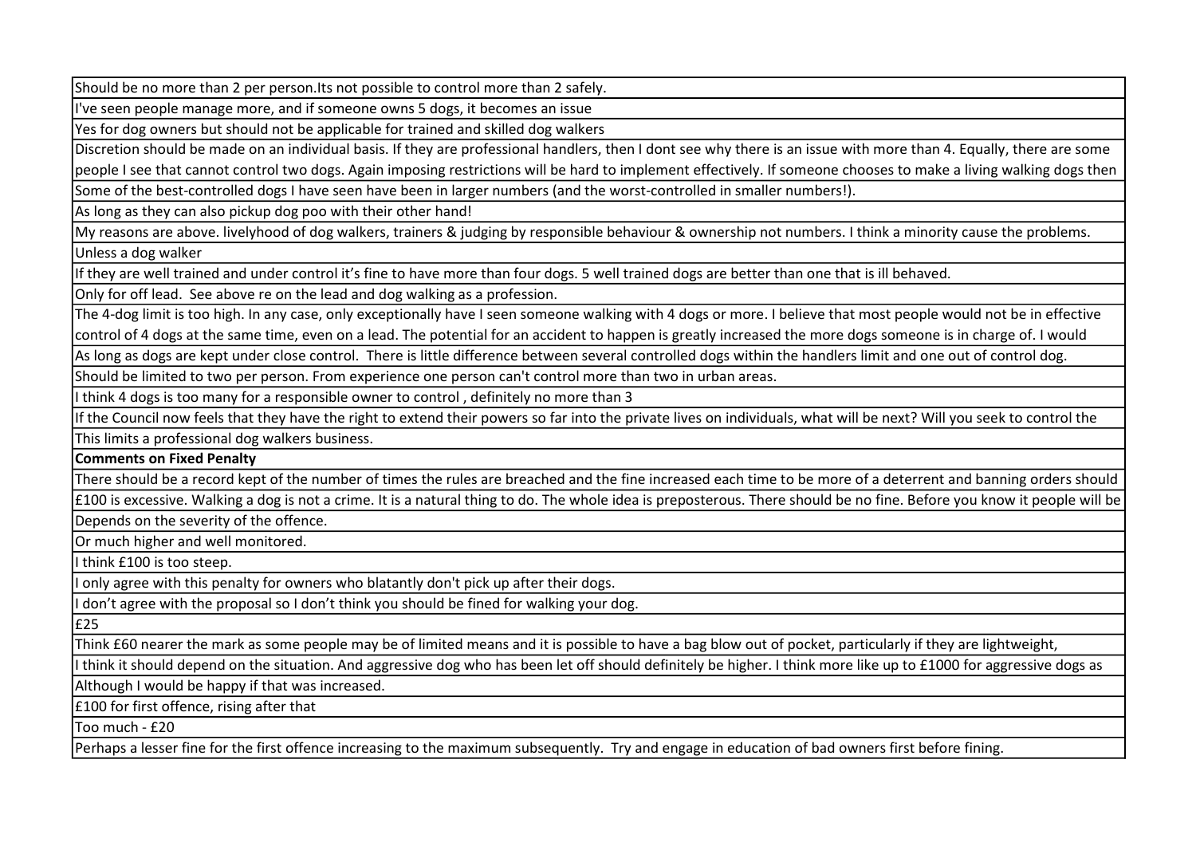Should be no more than 2 per person.Its not possible to control more than 2 safely.

I've seen people manage more, and if someone owns 5 dogs, it becomes an issue

Yes for dog owners but should not be applicable for trained and skilled dog walkers

Discretion should be made on an individual basis. If they are professional handlers, then I dont see why there is an issue with more than 4. Equally, there are some

people I see that cannot control two dogs. Again imposing restrictions will be hard to implement effectively. If someone chooses to make a living walking dogs then

Some of the best-controlled dogs I have seen have been in larger numbers (and the worst-controlled in smaller numbers!).

As long as they can also pickup dog poo with their other hand!

My reasons are above. livelyhood of dog walkers, trainers & judging by responsible behaviour & ownership not numbers. I think a minority cause the problems.

Unless a dog walker

If they are well trained and under control it's fine to have more than four dogs. 5 well trained dogs are better than one that is ill behaved.

Only for off lead. See above re on the lead and dog walking as a profession.

The 4-dog limit is too high. In any case, only exceptionally have I seen someone walking with 4 dogs or more. I believe that most people would not be in effective

control of 4 dogs at the same time, even on a lead. The potential for an accident to happen is greatly increased the more dogs someone is in charge of. I would

As long as dogs are kept under close control. There is little difference between several controlled dogs within the handlers limit and one out of control dog.

Should be limited to two per person. From experience one person can't control more than two in urban areas.

I think 4 dogs is too many for a responsible owner to control , definitely no more than 3

If the Council now feels that they have the right to extend their powers so far into the private lives on individuals, what will be next? Will you seek to control the This limits a professional dog walkers business.

## Comments on Fixed Penalty

There should be a record kept of the number of times the rules are breached and the fine increased each time to be more of a deterrent and banning orders should

£100 is excessive. Walking a dog is not a crime. It is a natural thing to do. The whole idea is preposterous. There should be no fine. Before you know it people will be

Depends on the severity of the offence.

Or much higher and well monitored.

I think £100 is too steep.

I only agree with this penalty for owners who blatantly don't pick up after their dogs.

I don't agree with the proposal so I don't think you should be fined for walking your dog.

£25

Think £60 nearer the mark as some people may be of limited means and it is possible to have a bag blow out of pocket, particularly if they are lightweight,

I think it should depend on the situation. And aggressive dog who has been let off should definitely be higher. I think more like up to £1000 for aggressive dogs as

Although I would be happy if that was increased.

£100 for first offence, rising after that

Too much - £20

Perhaps a lesser fine for the first offence increasing to the maximum subsequently. Try and engage in education of bad owners first before fining.